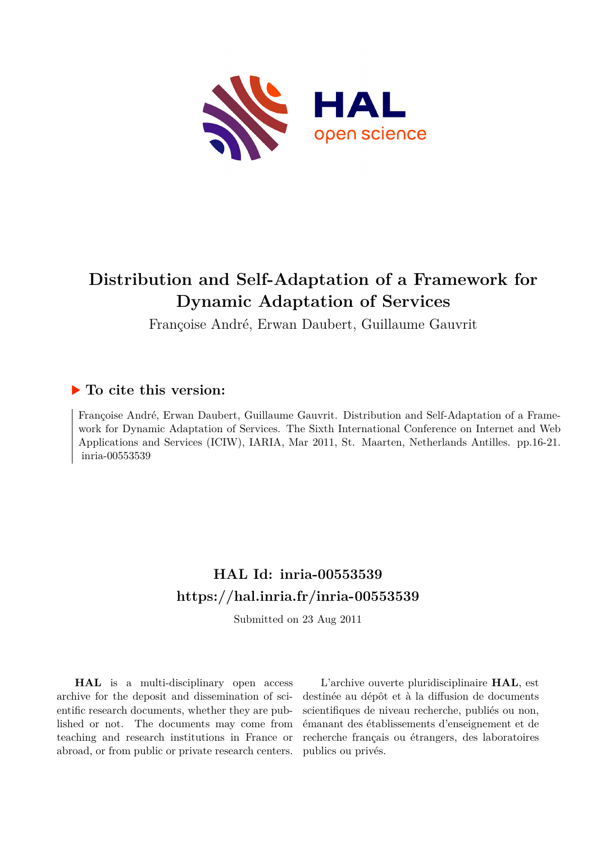

# **Distribution and Self-Adaptation of a Framework for Dynamic Adaptation of Services**

Françoise André, Erwan Daubert, Guillaume Gauvrit

# **To cite this version:**

Françoise André, Erwan Daubert, Guillaume Gauvrit. Distribution and Self-Adaptation of a Framework for Dynamic Adaptation of Services. The Sixth International Conference on Internet and Web Applications and Services (ICIW), IARIA, Mar 2011, St. Maarten, Netherlands Antilles. pp.16-21. inria-00553539

# **HAL Id: inria-00553539 <https://hal.inria.fr/inria-00553539>**

Submitted on 23 Aug 2011

**HAL** is a multi-disciplinary open access archive for the deposit and dissemination of scientific research documents, whether they are published or not. The documents may come from teaching and research institutions in France or abroad, or from public or private research centers.

L'archive ouverte pluridisciplinaire **HAL**, est destinée au dépôt et à la diffusion de documents scientifiques de niveau recherche, publiés ou non, émanant des établissements d'enseignement et de recherche français ou étrangers, des laboratoires publics ou privés.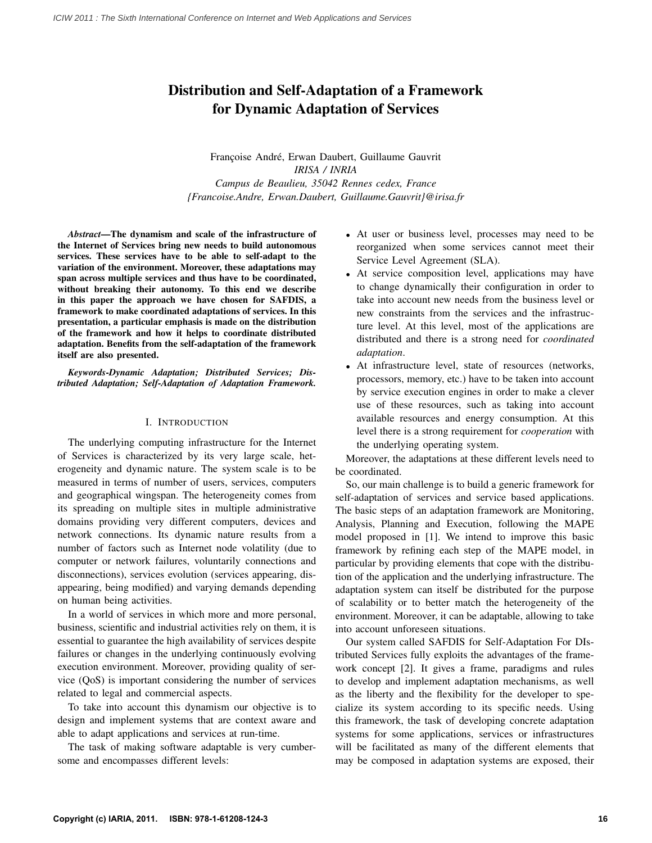# Distribution and Self-Adaptation of a Framework for Dynamic Adaptation of Services

Françoise André, Erwan Daubert, Guillaume Gauvrit *IRISA / INRIA Campus de Beaulieu, 35042 Rennes cedex, France {Francoise.Andre, Erwan.Daubert, Guillaume.Gauvrit}@irisa.fr*

*Abstract*—The dynamism and scale of the infrastructure of the Internet of Services bring new needs to build autonomous services. These services have to be able to self-adapt to the variation of the environment. Moreover, these adaptations may span across multiple services and thus have to be coordinated, without breaking their autonomy. To this end we describe in this paper the approach we have chosen for SAFDIS, a framework to make coordinated adaptations of services. In this presentation, a particular emphasis is made on the distribution of the framework and how it helps to coordinate distributed adaptation. Benefits from the self-adaptation of the framework itself are also presented.

*Keywords*-*Dynamic Adaptation; Distributed Services; Distributed Adaptation; Self-Adaptation of Adaptation Framework.*

### I. INTRODUCTION

The underlying computing infrastructure for the Internet of Services is characterized by its very large scale, heterogeneity and dynamic nature. The system scale is to be measured in terms of number of users, services, computers and geographical wingspan. The heterogeneity comes from its spreading on multiple sites in multiple administrative domains providing very different computers, devices and network connections. Its dynamic nature results from a number of factors such as Internet node volatility (due to computer or network failures, voluntarily connections and disconnections), services evolution (services appearing, disappearing, being modified) and varying demands depending on human being activities.

In a world of services in which more and more personal, business, scientific and industrial activities rely on them, it is essential to guarantee the high availability of services despite failures or changes in the underlying continuously evolving execution environment. Moreover, providing quality of service (QoS) is important considering the number of services related to legal and commercial aspects.

To take into account this dynamism our objective is to design and implement systems that are context aware and able to adapt applications and services at run-time.

The task of making software adaptable is very cumbersome and encompasses different levels:

- At user or business level, processes may need to be reorganized when some services cannot meet their Service Level Agreement (SLA).
- At service composition level, applications may have to change dynamically their configuration in order to take into account new needs from the business level or new constraints from the services and the infrastructure level. At this level, most of the applications are distributed and there is a strong need for *coordinated adaptation*.
- At infrastructure level, state of resources (networks, processors, memory, etc.) have to be taken into account by service execution engines in order to make a clever use of these resources, such as taking into account available resources and energy consumption. At this level there is a strong requirement for *cooperation* with the underlying operating system.

Moreover, the adaptations at these different levels need to be coordinated.

So, our main challenge is to build a generic framework for self-adaptation of services and service based applications. The basic steps of an adaptation framework are Monitoring, Analysis, Planning and Execution, following the MAPE model proposed in [1]. We intend to improve this basic framework by refining each step of the MAPE model, in particular by providing elements that cope with the distribution of the application and the underlying infrastructure. The adaptation system can itself be distributed for the purpose of scalability or to better match the heterogeneity of the environment. Moreover, it can be adaptable, allowing to take into account unforeseen situations.

Our system called SAFDIS for Self-Adaptation For DIstributed Services fully exploits the advantages of the framework concept [2]. It gives a frame, paradigms and rules to develop and implement adaptation mechanisms, as well as the liberty and the flexibility for the developer to specialize its system according to its specific needs. Using this framework, the task of developing concrete adaptation systems for some applications, services or infrastructures will be facilitated as many of the different elements that may be composed in adaptation systems are exposed, their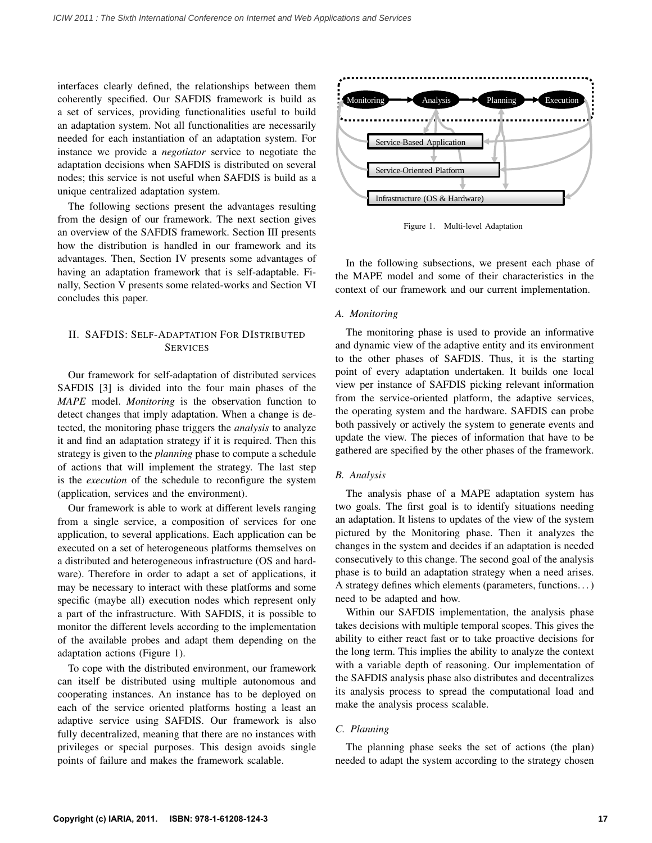interfaces clearly defined, the relationships between them coherently specified. Our SAFDIS framework is build as a set of services, providing functionalities useful to build an adaptation system. Not all functionalities are necessarily needed for each instantiation of an adaptation system. For instance we provide a *negotiator* service to negotiate the adaptation decisions when SAFDIS is distributed on several nodes; this service is not useful when SAFDIS is build as a unique centralized adaptation system.

The following sections present the advantages resulting from the design of our framework. The next section gives an overview of the SAFDIS framework. Section III presents how the distribution is handled in our framework and its advantages. Then, Section IV presents some advantages of having an adaptation framework that is self-adaptable. Finally, Section V presents some related-works and Section VI concludes this paper.

# II. SAFDIS: SELF-ADAPTATION FOR DISTRIBUTED **SERVICES**

Our framework for self-adaptation of distributed services SAFDIS [3] is divided into the four main phases of the *MAPE* model. *Monitoring* is the observation function to detect changes that imply adaptation. When a change is detected, the monitoring phase triggers the *analysis* to analyze it and find an adaptation strategy if it is required. Then this strategy is given to the *planning* phase to compute a schedule of actions that will implement the strategy. The last step is the *execution* of the schedule to reconfigure the system (application, services and the environment).

Our framework is able to work at different levels ranging from a single service, a composition of services for one application, to several applications. Each application can be executed on a set of heterogeneous platforms themselves on a distributed and heterogeneous infrastructure (OS and hardware). Therefore in order to adapt a set of applications, it may be necessary to interact with these platforms and some specific (maybe all) execution nodes which represent only a part of the infrastructure. With SAFDIS, it is possible to monitor the different levels according to the implementation of the available probes and adapt them depending on the adaptation actions (Figure 1).

To cope with the distributed environment, our framework can itself be distributed using multiple autonomous and cooperating instances. An instance has to be deployed on each of the service oriented platforms hosting a least an adaptive service using SAFDIS. Our framework is also fully decentralized, meaning that there are no instances with privileges or special purposes. This design avoids single points of failure and makes the framework scalable.



Figure 1. Multi-level Adaptation

In the following subsections, we present each phase of the MAPE model and some of their characteristics in the context of our framework and our current implementation.

### *A. Monitoring*

The monitoring phase is used to provide an informative and dynamic view of the adaptive entity and its environment to the other phases of SAFDIS. Thus, it is the starting point of every adaptation undertaken. It builds one local view per instance of SAFDIS picking relevant information from the service-oriented platform, the adaptive services, the operating system and the hardware. SAFDIS can probe both passively or actively the system to generate events and update the view. The pieces of information that have to be gathered are specified by the other phases of the framework.

## *B. Analysis*

The analysis phase of a MAPE adaptation system has two goals. The first goal is to identify situations needing an adaptation. It listens to updates of the view of the system pictured by the Monitoring phase. Then it analyzes the changes in the system and decides if an adaptation is needed consecutively to this change. The second goal of the analysis phase is to build an adaptation strategy when a need arises. A strategy defines which elements (parameters, functions. . . ) need to be adapted and how.

Within our SAFDIS implementation, the analysis phase takes decisions with multiple temporal scopes. This gives the ability to either react fast or to take proactive decisions for the long term. This implies the ability to analyze the context with a variable depth of reasoning. Our implementation of the SAFDIS analysis phase also distributes and decentralizes its analysis process to spread the computational load and make the analysis process scalable.

## *C. Planning*

The planning phase seeks the set of actions (the plan) needed to adapt the system according to the strategy chosen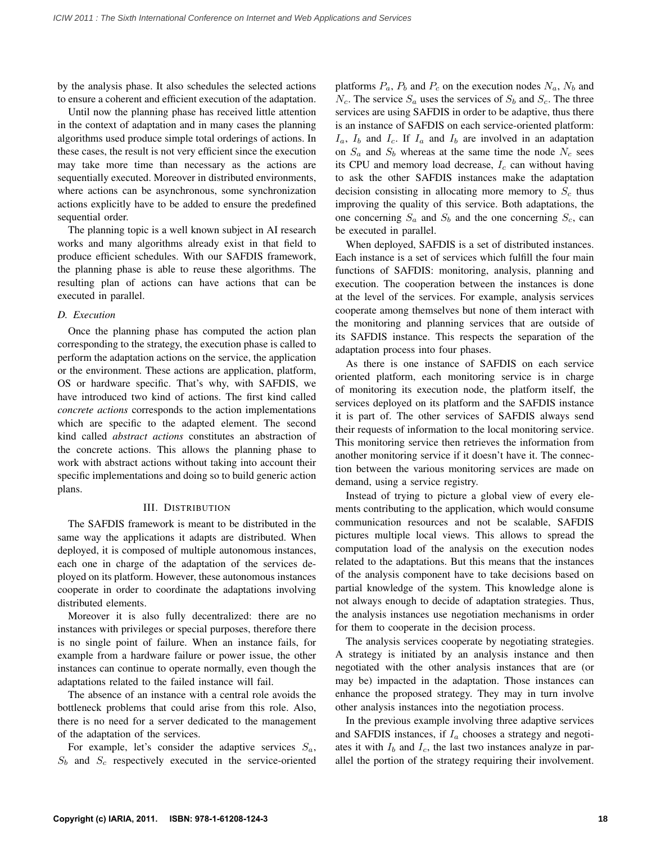by the analysis phase. It also schedules the selected actions to ensure a coherent and efficient execution of the adaptation.

Until now the planning phase has received little attention in the context of adaptation and in many cases the planning algorithms used produce simple total orderings of actions. In these cases, the result is not very efficient since the execution may take more time than necessary as the actions are sequentially executed. Moreover in distributed environments, where actions can be asynchronous, some synchronization actions explicitly have to be added to ensure the predefined sequential order.

The planning topic is a well known subject in AI research works and many algorithms already exist in that field to produce efficient schedules. With our SAFDIS framework, the planning phase is able to reuse these algorithms. The resulting plan of actions can have actions that can be executed in parallel.

## *D. Execution*

Once the planning phase has computed the action plan corresponding to the strategy, the execution phase is called to perform the adaptation actions on the service, the application or the environment. These actions are application, platform, OS or hardware specific. That's why, with SAFDIS, we have introduced two kind of actions. The first kind called *concrete actions* corresponds to the action implementations which are specific to the adapted element. The second kind called *abstract actions* constitutes an abstraction of the concrete actions. This allows the planning phase to work with abstract actions without taking into account their specific implementations and doing so to build generic action plans.

#### III. DISTRIBUTION

The SAFDIS framework is meant to be distributed in the same way the applications it adapts are distributed. When deployed, it is composed of multiple autonomous instances, each one in charge of the adaptation of the services deployed on its platform. However, these autonomous instances cooperate in order to coordinate the adaptations involving distributed elements.

Moreover it is also fully decentralized: there are no instances with privileges or special purposes, therefore there is no single point of failure. When an instance fails, for example from a hardware failure or power issue, the other instances can continue to operate normally, even though the adaptations related to the failed instance will fail.

The absence of an instance with a central role avoids the bottleneck problems that could arise from this role. Also, there is no need for a server dedicated to the management of the adaptation of the services.

For example, let's consider the adaptive services  $S_a$ ,  $S_b$  and  $S_c$  respectively executed in the service-oriented platforms  $P_a$ ,  $P_b$  and  $P_c$  on the execution nodes  $N_a$ ,  $N_b$  and  $N_c$ . The service  $S_a$  uses the services of  $S_b$  and  $S_c$ . The three services are using SAFDIS in order to be adaptive, thus there is an instance of SAFDIS on each service-oriented platform:  $I_a$ ,  $I_b$  and  $I_c$ . If  $I_a$  and  $I_b$  are involved in an adaptation on  $S_a$  and  $S_b$  whereas at the same time the node  $N_c$  sees its CPU and memory load decrease,  $I_c$  can without having to ask the other SAFDIS instances make the adaptation decision consisting in allocating more memory to  $S_c$  thus improving the quality of this service. Both adaptations, the one concerning  $S_a$  and  $S_b$  and the one concerning  $S_c$ , can be executed in parallel.

When deployed, SAFDIS is a set of distributed instances. Each instance is a set of services which fulfill the four main functions of SAFDIS: monitoring, analysis, planning and execution. The cooperation between the instances is done at the level of the services. For example, analysis services cooperate among themselves but none of them interact with the monitoring and planning services that are outside of its SAFDIS instance. This respects the separation of the adaptation process into four phases.

As there is one instance of SAFDIS on each service oriented platform, each monitoring service is in charge of monitoring its execution node, the platform itself, the services deployed on its platform and the SAFDIS instance it is part of. The other services of SAFDIS always send their requests of information to the local monitoring service. This monitoring service then retrieves the information from another monitoring service if it doesn't have it. The connection between the various monitoring services are made on demand, using a service registry.

Instead of trying to picture a global view of every elements contributing to the application, which would consume communication resources and not be scalable, SAFDIS pictures multiple local views. This allows to spread the computation load of the analysis on the execution nodes related to the adaptations. But this means that the instances of the analysis component have to take decisions based on partial knowledge of the system. This knowledge alone is not always enough to decide of adaptation strategies. Thus, the analysis instances use negotiation mechanisms in order for them to cooperate in the decision process.

The analysis services cooperate by negotiating strategies. A strategy is initiated by an analysis instance and then negotiated with the other analysis instances that are (or may be) impacted in the adaptation. Those instances can enhance the proposed strategy. They may in turn involve other analysis instances into the negotiation process.

In the previous example involving three adaptive services and SAFDIS instances, if  $I_a$  chooses a strategy and negotiates it with  $I_b$  and  $I_c$ , the last two instances analyze in parallel the portion of the strategy requiring their involvement.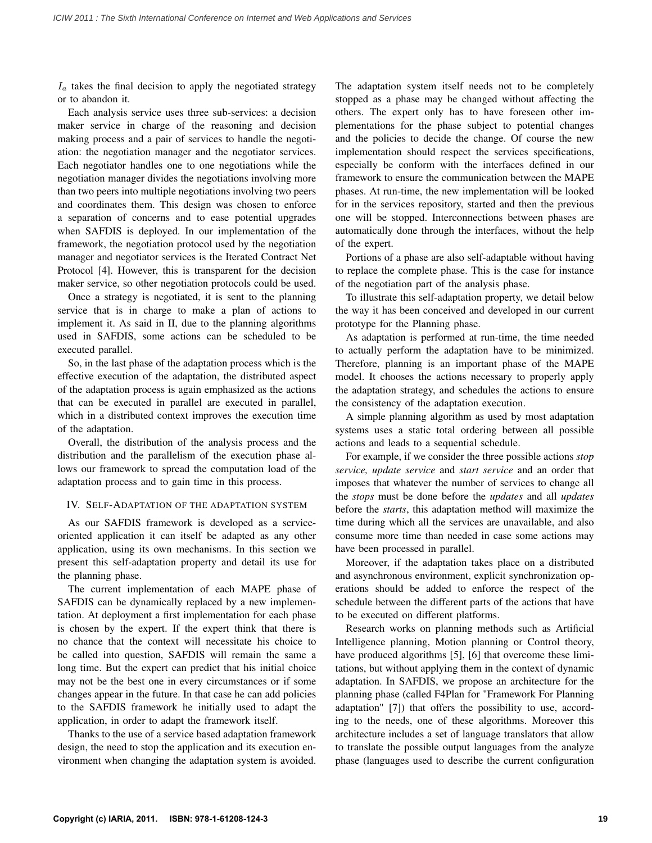$I_a$  takes the final decision to apply the negotiated strategy or to abandon it.

Each analysis service uses three sub-services: a decision maker service in charge of the reasoning and decision making process and a pair of services to handle the negotiation: the negotiation manager and the negotiator services. Each negotiator handles one to one negotiations while the negotiation manager divides the negotiations involving more than two peers into multiple negotiations involving two peers and coordinates them. This design was chosen to enforce a separation of concerns and to ease potential upgrades when SAFDIS is deployed. In our implementation of the framework, the negotiation protocol used by the negotiation manager and negotiator services is the Iterated Contract Net Protocol [4]. However, this is transparent for the decision maker service, so other negotiation protocols could be used.

Once a strategy is negotiated, it is sent to the planning service that is in charge to make a plan of actions to implement it. As said in II, due to the planning algorithms used in SAFDIS, some actions can be scheduled to be executed parallel.

So, in the last phase of the adaptation process which is the effective execution of the adaptation, the distributed aspect of the adaptation process is again emphasized as the actions that can be executed in parallel are executed in parallel, which in a distributed context improves the execution time of the adaptation.

Overall, the distribution of the analysis process and the distribution and the parallelism of the execution phase allows our framework to spread the computation load of the adaptation process and to gain time in this process.

### IV. SELF-ADAPTATION OF THE ADAPTATION SYSTEM

As our SAFDIS framework is developed as a serviceoriented application it can itself be adapted as any other application, using its own mechanisms. In this section we present this self-adaptation property and detail its use for the planning phase.

The current implementation of each MAPE phase of SAFDIS can be dynamically replaced by a new implementation. At deployment a first implementation for each phase is chosen by the expert. If the expert think that there is no chance that the context will necessitate his choice to be called into question, SAFDIS will remain the same a long time. But the expert can predict that his initial choice may not be the best one in every circumstances or if some changes appear in the future. In that case he can add policies to the SAFDIS framework he initially used to adapt the application, in order to adapt the framework itself.

Thanks to the use of a service based adaptation framework design, the need to stop the application and its execution environment when changing the adaptation system is avoided. The adaptation system itself needs not to be completely stopped as a phase may be changed without affecting the others. The expert only has to have foreseen other implementations for the phase subject to potential changes and the policies to decide the change. Of course the new implementation should respect the services specifications, especially be conform with the interfaces defined in our framework to ensure the communication between the MAPE phases. At run-time, the new implementation will be looked for in the services repository, started and then the previous one will be stopped. Interconnections between phases are automatically done through the interfaces, without the help of the expert.

Portions of a phase are also self-adaptable without having to replace the complete phase. This is the case for instance of the negotiation part of the analysis phase.

To illustrate this self-adaptation property, we detail below the way it has been conceived and developed in our current prototype for the Planning phase.

As adaptation is performed at run-time, the time needed to actually perform the adaptation have to be minimized. Therefore, planning is an important phase of the MAPE model. It chooses the actions necessary to properly apply the adaptation strategy, and schedules the actions to ensure the consistency of the adaptation execution.

A simple planning algorithm as used by most adaptation systems uses a static total ordering between all possible actions and leads to a sequential schedule.

For example, if we consider the three possible actions *stop service, update service* and *start service* and an order that imposes that whatever the number of services to change all the *stops* must be done before the *updates* and all *updates* before the *starts*, this adaptation method will maximize the time during which all the services are unavailable, and also consume more time than needed in case some actions may have been processed in parallel.

Moreover, if the adaptation takes place on a distributed and asynchronous environment, explicit synchronization operations should be added to enforce the respect of the schedule between the different parts of the actions that have to be executed on different platforms.

Research works on planning methods such as Artificial Intelligence planning, Motion planning or Control theory, have produced algorithms [5], [6] that overcome these limitations, but without applying them in the context of dynamic adaptation. In SAFDIS, we propose an architecture for the planning phase (called F4Plan for "Framework For Planning adaptation" [7]) that offers the possibility to use, according to the needs, one of these algorithms. Moreover this architecture includes a set of language translators that allow to translate the possible output languages from the analyze phase (languages used to describe the current configuration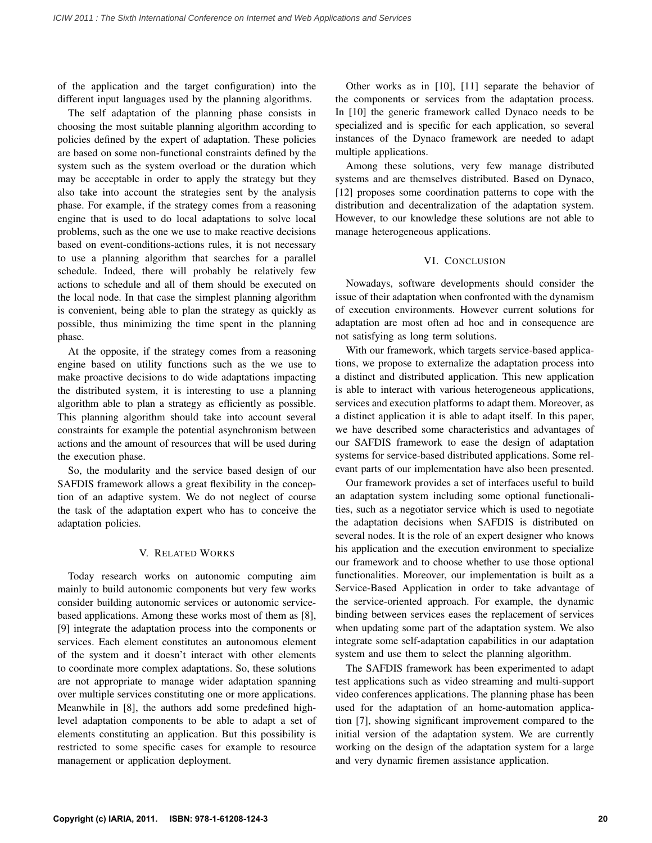of the application and the target configuration) into the different input languages used by the planning algorithms.

The self adaptation of the planning phase consists in choosing the most suitable planning algorithm according to policies defined by the expert of adaptation. These policies are based on some non-functional constraints defined by the system such as the system overload or the duration which may be acceptable in order to apply the strategy but they also take into account the strategies sent by the analysis phase. For example, if the strategy comes from a reasoning engine that is used to do local adaptations to solve local problems, such as the one we use to make reactive decisions based on event-conditions-actions rules, it is not necessary to use a planning algorithm that searches for a parallel schedule. Indeed, there will probably be relatively few actions to schedule and all of them should be executed on the local node. In that case the simplest planning algorithm is convenient, being able to plan the strategy as quickly as possible, thus minimizing the time spent in the planning phase.

At the opposite, if the strategy comes from a reasoning engine based on utility functions such as the we use to make proactive decisions to do wide adaptations impacting the distributed system, it is interesting to use a planning algorithm able to plan a strategy as efficiently as possible. This planning algorithm should take into account several constraints for example the potential asynchronism between actions and the amount of resources that will be used during the execution phase.

So, the modularity and the service based design of our SAFDIS framework allows a great flexibility in the conception of an adaptive system. We do not neglect of course the task of the adaptation expert who has to conceive the adaptation policies.

#### V. RELATED WORKS

Today research works on autonomic computing aim mainly to build autonomic components but very few works consider building autonomic services or autonomic servicebased applications. Among these works most of them as [8], [9] integrate the adaptation process into the components or services. Each element constitutes an autonomous element of the system and it doesn't interact with other elements to coordinate more complex adaptations. So, these solutions are not appropriate to manage wider adaptation spanning over multiple services constituting one or more applications. Meanwhile in [8], the authors add some predefined highlevel adaptation components to be able to adapt a set of elements constituting an application. But this possibility is restricted to some specific cases for example to resource management or application deployment.

Other works as in [10], [11] separate the behavior of the components or services from the adaptation process. In [10] the generic framework called Dynaco needs to be specialized and is specific for each application, so several instances of the Dynaco framework are needed to adapt multiple applications.

Among these solutions, very few manage distributed systems and are themselves distributed. Based on Dynaco, [12] proposes some coordination patterns to cope with the distribution and decentralization of the adaptation system. However, to our knowledge these solutions are not able to manage heterogeneous applications.

#### VI. CONCLUSION

Nowadays, software developments should consider the issue of their adaptation when confronted with the dynamism of execution environments. However current solutions for adaptation are most often ad hoc and in consequence are not satisfying as long term solutions.

With our framework, which targets service-based applications, we propose to externalize the adaptation process into a distinct and distributed application. This new application is able to interact with various heterogeneous applications, services and execution platforms to adapt them. Moreover, as a distinct application it is able to adapt itself. In this paper, we have described some characteristics and advantages of our SAFDIS framework to ease the design of adaptation systems for service-based distributed applications. Some relevant parts of our implementation have also been presented.

Our framework provides a set of interfaces useful to build an adaptation system including some optional functionalities, such as a negotiator service which is used to negotiate the adaptation decisions when SAFDIS is distributed on several nodes. It is the role of an expert designer who knows his application and the execution environment to specialize our framework and to choose whether to use those optional functionalities. Moreover, our implementation is built as a Service-Based Application in order to take advantage of the service-oriented approach. For example, the dynamic binding between services eases the replacement of services when updating some part of the adaptation system. We also integrate some self-adaptation capabilities in our adaptation system and use them to select the planning algorithm.

The SAFDIS framework has been experimented to adapt test applications such as video streaming and multi-support video conferences applications. The planning phase has been used for the adaptation of an home-automation application [7], showing significant improvement compared to the initial version of the adaptation system. We are currently working on the design of the adaptation system for a large and very dynamic firemen assistance application.